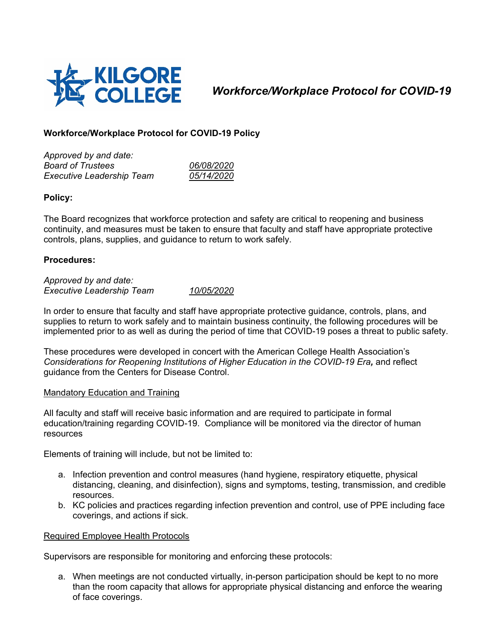

# *Workforce/Workplace Protocol for COVID-19*

# **Workforce/Workplace Protocol for COVID-19 Policy**

*Approved by and date: Board of Trustees 06/08/2020 Executive Leadership Team 05/14/2020*

# **Policy:**

The Board recognizes that workforce protection and safety are critical to reopening and business continuity, and measures must be taken to ensure that faculty and staff have appropriate protective controls, plans, supplies, and guidance to return to work safely.

## **Procedures:**

*Approved by and date: Executive Leadership Team 10/05/2020*

In order to ensure that faculty and staff have appropriate protective guidance, controls, plans, and supplies to return to work safely and to maintain business continuity, the following procedures will be implemented prior to as well as during the period of time that COVID-19 poses a threat to public safety.

These procedures were developed in concert with the American College Health Association's *Considerations for Reopening Institutions of Higher Education in the COVID-19 Era,* and reflect guidance from the Centers for Disease Control.

#### Mandatory Education and Training

All faculty and staff will receive basic information and are required to participate in formal education/training regarding COVID-19. Compliance will be monitored via the director of human resources

Elements of training will include, but not be limited to:

- a. Infection prevention and control measures (hand hygiene, respiratory etiquette, physical distancing, cleaning, and disinfection), signs and symptoms, testing, transmission, and credible resources.
- b. KC policies and practices regarding infection prevention and control, use of PPE including face coverings, and actions if sick.

#### Required Employee Health Protocols

Supervisors are responsible for monitoring and enforcing these protocols:

a. When meetings are not conducted virtually, in-person participation should be kept to no more than the room capacity that allows for appropriate physical distancing and enforce the wearing of face coverings.